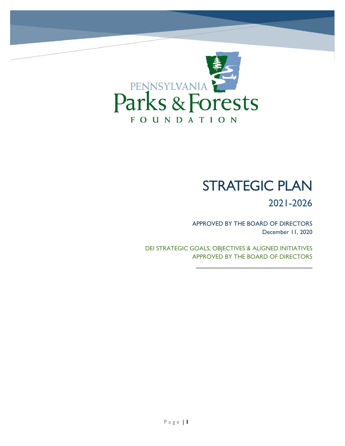

# STRATEGIC PLAN

2021-2026

APPROVED BY THE BOARD OF DIRECTORS December 11, 2020

 $\mathcal{L}_\text{max}$  , where  $\mathcal{L}_\text{max}$  , we have the set of the set of the set of the set of the set of the set of the set of the set of the set of the set of the set of the set of the set of the set of the set of the set of

DEI STRATEGIC GOALS, OBJECTIVES & ALIGNED INITIATIVES APPROVED BY THE BOARD OF DIRECTORS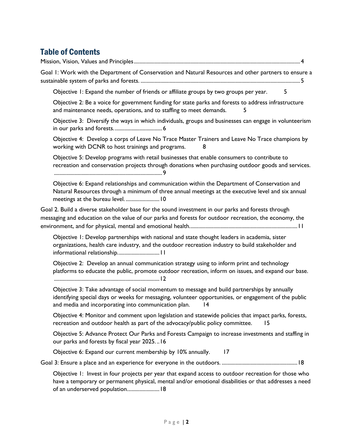# Table of Contents

[Mission, Vision, Values and Principles...........................................................................................................................4](#page-3-0)

[Goal 1: Work with the Department of Conservation and Natural Resources and other partners to ensure a](#page-4-0)  sustainable system of parks and forests. [......................................................................................................................5](#page-4-0)

[Objective 1: Expand the number of friends or affiliate groups by two groups per year.](#page-4-1) 5

[Objective 2: Be a voice for government funding for state parks and forests to address infrastructure](#page-4-2)  [and maintenance needs, operations, and to staffing to meet demands.](#page-4-2) 5

[Objective 3: Diversify the ways in which individuals, groups and businesses can engage in volunteerism](#page-5-0)  [in our parks and forests....................................6](#page-5-0)

[Objective 4: Develop a corps of Leave No Trace Master Trainers and Leave No Trace champions by](#page-7-0)  [working with DCNR to host trainings and programs.](#page-7-0) 8

[Objective 5: Develop programs with retail businesses that enable consumers to contribute to](#page-8-0)  recreation and [conservation projects through donations when purchasing outdoor goods and services.](#page-8-0) [................................................................................9](#page-8-0)

[Objective 6: Expand relationships and communication within the Department of Conservation and](#page-9-0)  [Natural Resources through a minimum of three annual meetings at the executive level and six annual](#page-9-0)  [meetings at the bureau level.](#page-9-0) .........................10

[Goal 2. Build a diverse stakeholder base for the sound investment in our parks and forests through](#page-10-0)  [messaging and education on the value of our parks and forests for outdoor recreation, the economy, the](#page-10-0)  [environment, and for physical, mental and emotional health................................................................................11](#page-10-0)

[Objective 1: Develop partnerships with national and state thought leaders in academia, sister](#page-10-1)  [organizations, health care industry, and the outdoor recreation industry to build stakeholder and](#page-10-1)  [informational relationship...............................11](#page-10-1)

[Objective 2: Develop an annual communication strategy using to inform print and technology](#page-11-0)  [platforms to educate the public, promote outdoor recreation, inform on issues, and expand our base.](#page-11-0) [..............................................................................12](#page-11-0)

[Objective 3: Take advantage of social momentum to message and build partnerships by annually](#page-13-0)  [identifying special days or weeks for messaging, volunteer opportunities, or engagement of the public](#page-13-0)  [and media and incorporating into communication plan.](#page-13-0) 14

[Objective 4: Monitor and comment upon legislation and statewide policies that impact parks, forests,](#page-14-0)  [recreation and outdoor health as part of the advocacy/public policy committee.](#page-14-0) 15

[Objective 5: Advance Protect Our Parks and Forests Campaign to increase investments and staffing in](#page-15-0)  [our parks and forests by fiscal year 2025.](#page-15-0) ..16

[Objective 6: Expand our current membership by 10% annually.](#page-16-0) 17

[Goal 3: Ensure a place and an experience for everyone in the outdoors.](#page-17-0) ........................................................18

[Objective 1: Invest in four projects per year that expand access to outdoor recreation for those who](#page-17-1)  [have a temporary or permanent physical, mental and/or emotional disabilities or that addresses a need](#page-17-1)  [of an underserved population........................18](#page-17-1)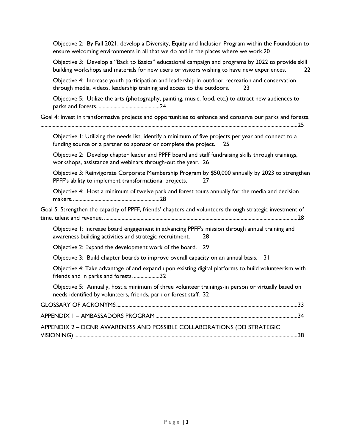[Objective 2: By Fall 2021, develop a Diversity, Equity and Inclusion Program within the Foundation to](#page-19-0)  [ensure welcoming environments in all that we do and in the places where we work.20](#page-19-0)

[Objective 3: Develop a "Back to Basics" educational campaign and programs by 2022 to provide skill](#page-21-0)  [building workshops and materials for new users or visitors wishing to have new experiences.](#page-21-0) 22

[Objective 4: Increase youth participation and leadership in outdoor recreation and conservation](#page-22-0)  [through media, videos, leadership training and access to the outdoors.](#page-22-0) 23

[Objective 5: Utilize the arts \(photography, painting, music, food, etc.\) to attract new audiences to](#page-23-0)  parks and forests. [.............................................24](#page-23-0)

[Goal 4: Invest in transformative projects and opportunities to enhance and conserve our parks and forests.](#page-24-0)

[..............................................................................................................................................................................................25](#page-24-0)

[Objective 1: Utilizing the needs list, identify a minimum of five projects per year and connect to a](#page-24-1)  [funding source or a partner to sponsor or complete the project.](#page-24-1) 25

[Objective 2: Develop chapter leader and PPFF board and staff fundraising skills through trainings,](#page-25-0)  [workshops, assistance and webinars through-out the year.](#page-25-0) 26

[Objective 3: Reinvigorate Corporate Membership Program by \\$50,000 annually by 2023 to strengthen](#page-26-0)  [PPFF's ability to implement transformational projects.](#page-26-0) 27

[Objective 4: Host a minimum of twelve park and forest tours annually for the media and decision](#page-27-0)  [makers.................................................................28](#page-27-0)

[Goal 5: Strengthen the capacity of PPFF, friends' chapters and volun](#page-27-1)teers through strategic investment of time, talent and revenue. [...............................................................................................................................................28](#page-27-1)

[Objective 1: Increase board engagement in advancing PPFF's mission](#page-27-2) through annual training and [awareness building activities and strategic recruitment.](#page-27-2) 28

[Objective 2: Expand the development work of the board.](#page-28-0) 29

[Objective 3: Build chapter boards to improve overall capacity on an annual basis.](#page-30-0) 31

[Objective 4: Take advantage of and expand upon existing digital platforms to build volunteerism with](#page-31-0)  [friends and in parks and forests.](#page-31-0) ...................32

[Objective 5: Annually, host a minimum of three volunteer trainings-in person or virtually based on](#page-31-1)  [needs identified by volunteers, friends, park or forest staff.](#page-31-1) 32

| APPENDIX 2 - DCNR AWARENESS AND POSSIBLE COLLABORATIONS (DEI STRATEGIC |  |
|------------------------------------------------------------------------|--|
|                                                                        |  |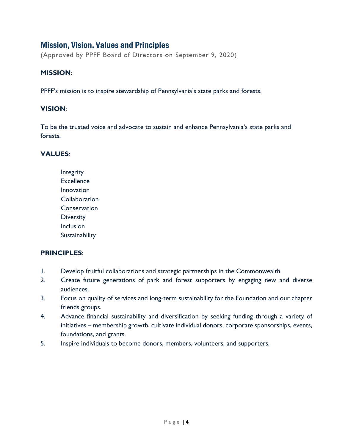# <span id="page-3-0"></span>Mission, Vision, Values and Principles

(Approved by PPFF Board of Directors on September 9, 2020)

# **MISSION**:

PPFF's mission is to inspire stewardship of Pennsylvania's state parks and forests.

#### **VISION**:

To be the trusted voice and advocate to sustain and enhance Pennsylvania's state parks and forests.

# **VALUES**:

Integrity **Excellence** Innovation **Collaboration Conservation Diversity** Inclusion **Sustainability** 

# **PRINCIPLES**:

- 1. Develop fruitful collaborations and strategic partnerships in the Commonwealth.
- 2. Create future generations of park and forest supporters by engaging new and diverse audiences.
- 3. Focus on quality of services and long-term sustainability for the Foundation and our chapter friends groups.
- 4. Advance financial sustainability and diversification by seeking funding through a variety of initiatives – membership growth, cultivate individual donors, corporate sponsorships, events, foundations, and grants.
- 5. Inspire individuals to become donors, members, volunteers, and supporters.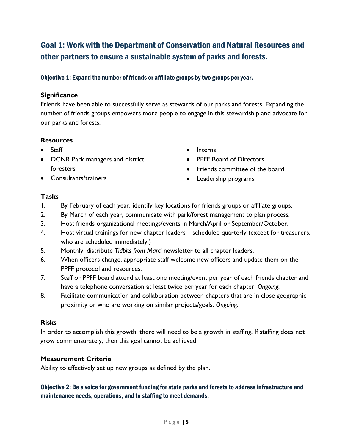# <span id="page-4-0"></span>Goal 1: Work with the Department of Conservation and Natural Resources and other partners to ensure a sustainable system of parks and forests.

# <span id="page-4-1"></span>Objective 1: Expand the number of friends or affiliate groups by two groups per year.

# **Significance**

Friends have been able to successfully serve as stewards of our parks and forests. Expanding the number of friends groups empowers more people to engage in this stewardship and advocate for our parks and forests.

# **Resources**

- Staff
- DCNR Park managers and district foresters
- Consultants/trainers
- Interns
- PPFF Board of Directors
- Friends committee of the board
- Leadership programs

# **Tasks**

- 1. By February of each year, identify key locations for friends groups or affiliate groups.
- 2. By March of each year, communicate with park/forest management to plan process.
- 3. Host friends organizational meetings/events in March/April or September/October.
- 4. Host virtual trainings for new chapter leaders—scheduled quarterly (except for treasurers, who are scheduled immediately.)
- 5. Monthly, distribute *Tidbits from Marci* newsletter to all chapter leaders.
- 6. When officers change, appropriate staff welcome new officers and update them on the PPFF protocol and resources.
- 7. Staff or PPFF board attend at least one meeting/event per year of each friends chapter and have a telephone conversation at least twice per year for each chapter. *Ongoing.*
- 8. Facilitate communication and collaboration between chapters that are in close geographic proximity or who are working on similar projects/goals. *Ongoing.*

# **Risks**

In order to accomplish this growth, there will need to be a growth in staffing. If staffing does not grow commensurately, then this goal cannot be achieved.

# **Measurement Criteria**

Ability to effectively set up new groups as defined by the plan.

# <span id="page-4-2"></span>Objective 2: Be a voice for government funding for state parks and forests to address infrastructure and maintenance needs, operations, and to staffing to meet demands.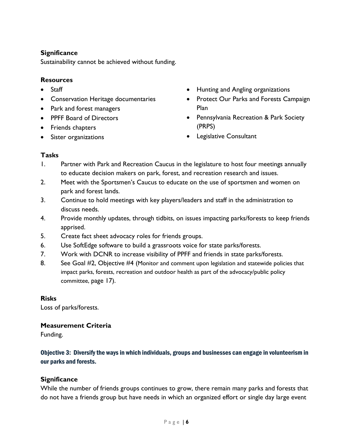# **Significance**

Sustainability cannot be achieved without funding.

# **Resources**

- Staff
- **•** Conservation Heritage documentaries
- Park and forest managers
- PPFF Board of Directors
- Friends chapters
- Sister organizations
- Hunting and Angling organizations
- Protect Our Parks and Forests Campaign Plan
- Pennsylvania Recreation & Park Society (PRPS)
- **•** Legislative Consultant

# **Tasks**

- 1. Partner with Park and Recreation Caucus in the legislature to host four meetings annually to educate decision makers on park, forest, and recreation research and issues.
- 2. Meet with the Sportsmen's Caucus to educate on the use of sportsmen and women on park and forest lands.
- 3. Continue to hold meetings with key players/leaders and staff in the administration to discuss needs.
- 4. Provide monthly updates, through tidbits, on issues impacting parks/forests to keep friends apprised.
- 5. Create fact sheet advocacy roles for friends groups.
- 6. Use SoftEdge software to build a grassroots voice for state parks/forests.
- 7. Work with DCNR to increase visibility of PPFF and friends in state parks/forests.
- 8. See Goal #2, Objective #4 (Monitor and comment upon legislation and statewide policies that impact parks, forests, recreation and outdoor health as part of the advocacy/public policy committee, page 17).

# **Risks**

Loss of parks/forests.

# **Measurement Criteria**

Funding.

# <span id="page-5-0"></span>Objective 3: Diversify the ways in which individuals, groups and businesses can engage in volunteerism in our parks and forests.

# **Significance**

While the number of friends groups continues to grow, there remain many parks and forests that do not have a friends group but have needs in which an organized effort or single day large event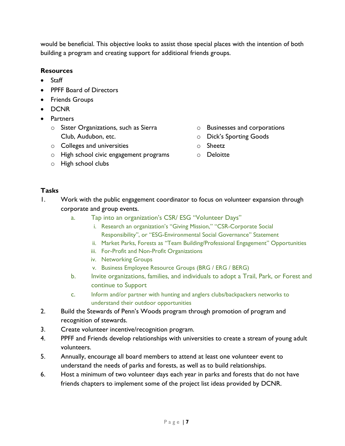would be beneficial. This objective looks to assist those special places with the intention of both building a program and creating support for additional friends groups.

# **Resources**

- Staff
- PPFF Board of Directors
- **•** Friends Groups
- DCNR
- Partners
	- o Sister Organizations, such as Sierra Club, Audubon, etc.
	- o Colleges and universities
	- o High school civic engagement programs
	- o High school clubs
- o Businesses and corporations
- o Dick's Sporting Goods
- o Sheetz
- o Deloitte

- 1. Work with the public engagement coordinator to focus on volunteer expansion through corporate and group events.
	- a. Tap into an organization's CSR/ ESG "Volunteer Days"
		- i. Research an organization's "Giving Mission," "CSR-Corporate Social Responsibility", or "ESG-Environmental Social Governance" Statement
		- ii. Market Parks, Forests as "Team Building/Professional Engagement" Opportunities
		- iii. For-Profit and Non-Profit Organizations
		- iv. Networking Groups
		- v. Business Employee Resource Groups (BRG / ERG / BERG)
	- b. Invite organizations, families, and individuals to adopt a Trail, Park, or Forest and continue to Support
	- c. Inform and/or partner with hunting and anglers clubs/backpackers networks to understand their outdoor opportunities
- 2. Build the Stewards of Penn's Woods program through promotion of program and recognition of stewards.
- 3. Create volunteer incentive/recognition program.
- 4. PPFF and Friends develop relationships with universities to create a stream of young adult volunteers.
- 5. Annually, encourage all board members to attend at least one volunteer event to understand the needs of parks and forests, as well as to build relationships.
- 6. Host a minimum of two volunteer days each year in parks and forests that do not have friends chapters to implement some of the project list ideas provided by DCNR.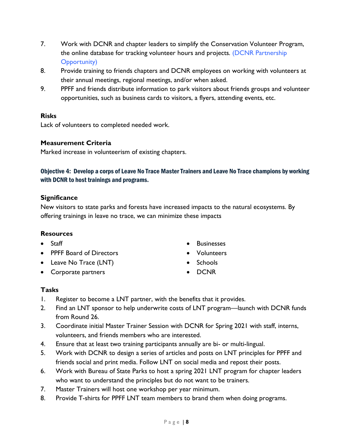- 7. Work with DCNR and chapter leaders to simplify the Conservation Volunteer Program, the online database for tracking volunteer hours and projects*.* (DCNR Partnership Opportunity)
- 8. Provide training to friends chapters and DCNR employees on working with volunteers at their annual meetings, regional meetings, and/or when asked.
- 9. PPFF and friends distribute information to park visitors about friends groups and volunteer opportunities, such as business cards to visitors, a flyers, attending events, etc.

Lack of volunteers to completed needed work.

# **Measurement Criteria**

Marked increase in volunteerism of existing chapters.

# <span id="page-7-0"></span>Objective 4: Develop a corps of Leave No Trace Master Trainers and Leave No Trace champions by working with DCNR to host trainings and programs.

# **Significance**

New visitors to state parks and forests have increased impacts to the natural ecosystems. By offering trainings in leave no trace, we can minimize these impacts

# **Resources**

- Staff
- PPFF Board of Directors
- Leave No Trace (LNT)
- Corporate partners
- Businesses
- Volunteers
- Schools
- DCNR

- 1. Register to become a LNT partner, with the benefits that it provides.
- 2. Find an LNT sponsor to help underwrite costs of LNT program—launch with DCNR funds from Round 26.
- 3. Coordinate initial Master Trainer Session with DCNR for Spring 2021 with staff, interns, volunteers, and friends members who are interested.
- 4. Ensure that at least two training participants annually are bi- or multi-lingual.
- 5. Work with DCNR to design a series of articles and posts on LNT principles for PPFF and friends social and print media. Follow LNT on social media and repost their posts.
- 6. Work with Bureau of State Parks to host a spring 2021 LNT program for chapter leaders who want to understand the principles but do not want to be trainers.
- 7. Master Trainers will host one workshop per year minimum.
- 8. Provide T-shirts for PPFF LNT team members to brand them when doing programs.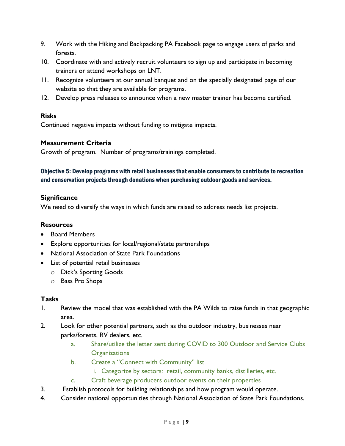- 9. Work with the Hiking and Backpacking PA Facebook page to engage users of parks and forests.
- 10. Coordinate with and actively recruit volunteers to sign up and participate in becoming trainers or attend workshops on LNT.
- 11. Recognize volunteers at our annual banquet and on the specially designated page of our website so that they are available for programs.
- 12. Develop press releases to announce when a new master trainer has become certified.

Continued negative impacts without funding to mitigate impacts.

# **Measurement Criteria**

Growth of program. Number of programs/trainings completed.

# <span id="page-8-0"></span>Objective 5: Develop programs with retail businesses that enable consumers to contribute to recreation and conservation projects through donations when purchasing outdoor goods and services.

# **Significance**

We need to diversify the ways in which funds are raised to address needs list projects.

# **Resources**

- Board Members
- Explore opportunities for local/regional/state partnerships
- National Association of State Park Foundations
- List of potential retail businesses
	- o Dick's Sporting Goods
	- o Bass Pro Shops

- 1. Review the model that was established with the PA Wilds to raise funds in that geographic area.
- 2. Look for other potential partners, such as the outdoor industry, businesses near parks/forests, RV dealers, etc.
	- a. Share/utilize the letter sent during COVID to 300 Outdoor and Service Clubs **Organizations**
	- b. Create a "Connect with Community" list
		- i. Categorize by sectors: retail, community banks, distilleries, etc.
	- c. Craft beverage producers outdoor events on their properties
- 3. Establish protocols for building relationships and how program would operate.
- 4. Consider national opportunities through National Association of State Park Foundations.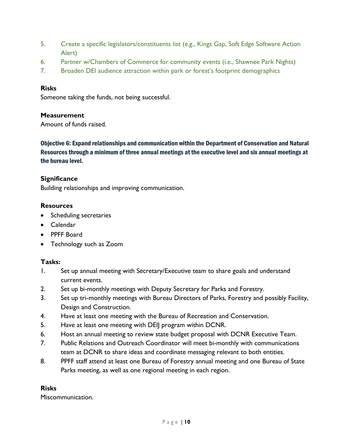- 5. Create a specific legislators/constituents list (e.g., Kings Gap, Soft Edge Software Action Alert)
- 6. Partner w/Chambers of Commerce for community events (i.e., Shawnee Park Nights)
- 7. Broaden DEI audience attraction within park or forest's footprint demographics

Someone taking the funds, not being successful.

# **Measurement**

Amount of funds raised.

<span id="page-9-0"></span>Objective 6: Expand relationships and communication within the Department of Conservation and Natural Resources through a minimum of three annual meetings at the executive level and six annual meetings at the bureau level.

# **Significance**

Building relationships and improving communication.

# **Resources**

- Scheduling secretaries
- Calendar
- PPFF Board
- Technology such as Zoom

# **Tasks:**

- 1. Set up annual meeting with Secretary/Executive team to share goals and understand current events.
- 2. Set up bi-monthly meetings with Deputy Secretary for Parks and Forestry.
- 3. Set up tri-monthly meetings with Bureau Directors of Parks, Forestry and possibly Facility, Design and Construction.
- 4. Have at least one meeting with the Bureau of Recreation and Conservation.
- 5. Have at least one meeting with DEIJ program within DCNR.
- 6. Host an annual meeting to review state budget proposal with DCNR Executive Team.
- 7. Public Relations and Outreach Coordinator will meet bi-monthly with communications team at DCNR to share ideas and coordinate messaging relevant to both entities.
- 8. PPFF staff attend at least one Bureau of Forestry annual meeting and one Bureau of State Parks meeting, as well as one regional meeting in each region.

# **Risks**

Miscommunication.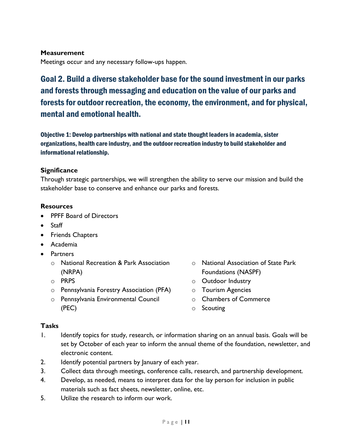# **Measurement**

Meetings occur and any necessary follow-ups happen.

# <span id="page-10-0"></span>Goal 2. Build a diverse stakeholder base for the sound investment in our parks and forests through messaging and education on the value of our parks and forests for outdoor recreation, the economy, the environment, and for physical, mental and emotional health.

<span id="page-10-1"></span>Objective 1: Develop partnerships with national and state thought leaders in academia, sister organizations, health care industry, and the outdoor recreation industry to build stakeholder and informational relationship.

# **Significance**

Through strategic partnerships, we will strengthen the ability to serve our mission and build the stakeholder base to conserve and enhance our parks and forests.

# **Resources**

- PPFF Board of Directors
- Staff
- Friends Chapters
- Academia
- Partners
	- o National Recreation & Park Association (NRPA)
	- o PRPS
	- o Pennsylvania Forestry Association (PFA)
	- o Pennsylvania Environmental Council (PEC)
- o National Association of State Park Foundations (NASPF)
- o Outdoor Industry
- o Tourism Agencies
- o Chambers of Commerce
- o Scouting

- 1. Identify topics for study, research, or information sharing on an annual basis. Goals will be set by October of each year to inform the annual theme of the foundation, newsletter, and electronic content.
- 2. Identify potential partners by January of each year.
- 3. Collect data through meetings, conference calls, research, and partnership development.
- 4. Develop, as needed, means to interpret data for the lay person for inclusion in public materials such as fact sheets, newsletter, online, etc.
- 5. Utilize the research to inform our work.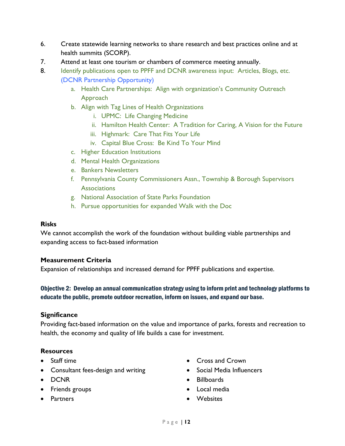- 6. Create statewide learning networks to share research and best practices online and at health summits (SCORP).
- 7. Attend at least one tourism or chambers of commerce meeting annually.
- 8. Identify publications open to PPFF and DCNR awareness input: Articles, Blogs, etc. (DCNR Partnership Opportunity)
	- a. Health Care Partnerships: Align with organization's Community Outreach Approach
	- b. Align with Tag Lines of Health Organizations
		- i. UPMC: Life Changing Medicine
		- ii. Hamilton Health Center: A Tradition for Caring, A Vision for the Future
		- iii. Highmark: Care That Fits Your Life
		- iv. Capital Blue Cross: Be Kind To Your Mind
	- c. Higher Education Institutions
	- d. Mental Health Organizations
	- e. Bankers Newsletters
	- f. Pennsylvania County Commissioners Assn., Township & Borough Supervisors **Associations**
	- g. National Association of State Parks Foundation
	- h. Pursue opportunities for expanded Walk with the Doc

We cannot accomplish the work of the foundation without building viable partnerships and expanding access to fact-based information

# **Measurement Criteria**

Expansion of relationships and increased demand for PPFF publications and expertise.

# <span id="page-11-0"></span>Objective 2: Develop an annual communication strategy using to inform print and technology platforms to educate the public, promote outdoor recreation, inform on issues, and expand our base.

# **Significance**

Providing fact-based information on the value and importance of parks, forests and recreation to health, the economy and quality of life builds a case for investment.

# **Resources**

- Staff time
- Consultant fees-design and writing
- DCNR
- Friends groups
- Partners
- Cross and Crown
- Social Media Influencers
- Billboards
- Local media
- Websites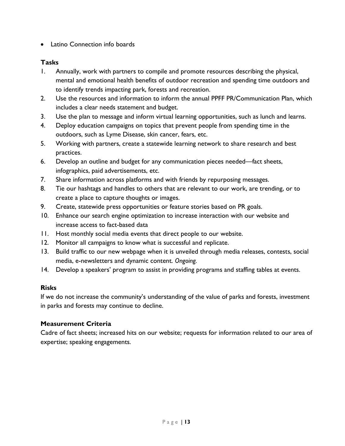• Latino Connection info boards

# **Tasks**

- 1. Annually, work with partners to compile and promote resources describing the physical, mental and emotional health benefits of outdoor recreation and spending time outdoors and to identify trends impacting park, forests and recreation.
- 2. Use the resources and information to inform the annual PPFF PR/Communication Plan, which includes a clear needs statement and budget.
- 3. Use the plan to message and inform virtual learning opportunities, such as lunch and learns.
- 4. Deploy education campaigns on topics that prevent people from spending time in the outdoors, such as Lyme Disease, skin cancer, fears, etc.
- 5. Working with partners, create a statewide learning network to share research and best practices.
- 6. Develop an outline and budget for any communication pieces needed—fact sheets, infographics, paid advertisements, etc.
- 7. Share information across platforms and with friends by repurposing messages.
- 8. Tie our hashtags and handles to others that are relevant to our work, are trending, or to create a place to capture thoughts or images.
- 9. Create, statewide press opportunities or feature stories based on PR goals.
- 10. Enhance our search engine optimization to increase interaction with our website and increase access to fact-based data
- 11. Host monthly social media events that direct people to our website.
- 12. Monitor all campaigns to know what is successful and replicate.
- 13. Build traffic to our new webpage when it is unveiled through media releases, contests, social media, e-newsletters and dynamic content. *Ongoing.*
- 14. Develop a speakers' program to assist in providing programs and staffing tables at events.

# **Risks**

If we do not increase the community's understanding of the value of parks and forests, investment in parks and forests may continue to decline.

# **Measurement Criteria**

Cadre of fact sheets; increased hits on our website; requests for information related to our area of expertise; speaking engagements.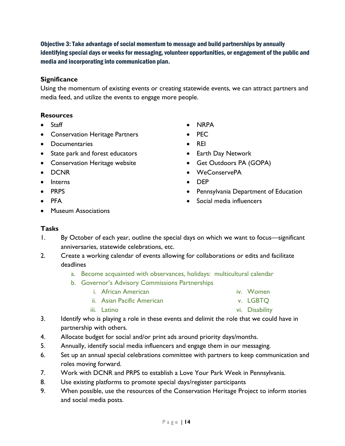<span id="page-13-0"></span>Objective 3: Take advantage of social momentum to message and build partnerships by annually identifying special days or weeks for messaging, volunteer opportunities, or engagement of the public and media and incorporating into communication plan.

# **Significance**

Using the momentum of existing events or creating statewide events, we can attract partners and media feed, and utilize the events to engage more people.

# **Resources**

- Staff
- **•** Conservation Heritage Partners
- Documentaries
- State park and forest educators
- **•** Conservation Heritage website
- DCNR
- Interns
- PRPS
- $\bullet$  PFA
- Museum Associations
- NRPA
- PEC
- $\bullet$  REI
- Earth Day Network
- Get Outdoors PA (GOPA)
- WeConservePA
- DEP
- Pennsylvania Department of Education

vi. Disability

• Social media influencers

- 1. By October of each year, outline the special days on which we want to focus—significant anniversaries, statewide celebrations, etc.
- 2. Create a working calendar of events allowing for collaborations or edits and facilitate deadlines
	- a. Become acquainted with observances, holidays: multicultural calendar
	- b. Governor's Advisory Commissions Partnerships
		- i. African American iv. Women
			- ii. Asian Pacific American v. LGBTQ
			- iii. Latino
- 3. Identify who is playing a role in these events and delimit the role that we could have in partnership with others.
- 4. Allocate budget for social and/or print ads around priority days/months.
- 5. Annually, identify social media influencers and engage them in our messaging.
- 6. Set up an annual special celebrations committee with partners to keep communication and roles moving forward.
- 7. Work with DCNR and PRPS to establish a Love Your Park Week in Pennsylvania.
- 8. Use existing platforms to promote special days/register participants
- 9. When possible, use the resources of the Conservation Heritage Project to inform stories and social media posts.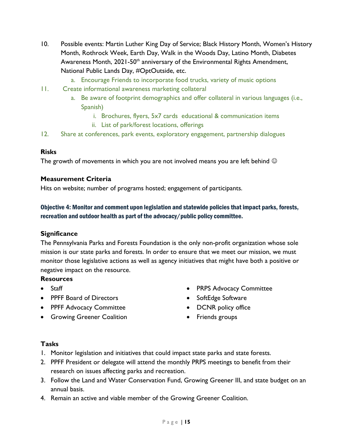- 10. Possible events: Martin Luther King Day of Service; Black History Month, Women's History Month, Rothrock Week, Earth Day, Walk in the Woods Day, Latino Month, Diabetes Awareness Month, 2021-50<sup>th</sup> anniversary of the Environmental Rights Amendment, National Public Lands Day, #OptOutside, etc.
	- a. Encourage Friends to incorporate food trucks, variety of music options
- 11. Create informational awareness marketing collateral
	- a. Be aware of footprint demographics and offer collateral in various languages (i.e., Spanish)
		- i. Brochures, flyers, 5x7 cards educational & communication items
		- ii. List of park/forest locations, offerings
- 12. Share at conferences, park events, exploratory engagement, partnership dialogues

The growth of movements in which you are not involved means you are left behind  $\odot$ 

#### **Measurement Criteria**

Hits on website; number of programs hosted; engagement of participants.

# <span id="page-14-0"></span>Objective 4: Monitor and comment upon legislation and statewide policies that impact parks, forests, recreation and outdoor health as part of the advocacy/public policy committee.

#### **Significance**

The Pennsylvania Parks and Forests Foundation is the only non-profit organization whose sole mission is our state parks and forests. In order to ensure that we meet our mission, we must monitor those legislative actions as well as agency initiatives that might have both a positive or negative impact on the resource.

#### **Resources**

- **•** Staff
- PPFF Board of Directors
- PPFF Advocacy Committee
- **Growing Greener Coalition**
- PRPS Advocacy Committee
- SoftEdge Software
- DCNR policy office
- Friends groups

- 1. Monitor legislation and initiatives that could impact state parks and state forests.
- 2. PPFF President or delegate will attend the monthly PRPS meetings to benefit from their research on issues affecting parks and recreation.
- 3. Follow the Land and Water Conservation Fund, Growing Greener III, and state budget on an annual basis.
- 4. Remain an active and viable member of the Growing Greener Coalition.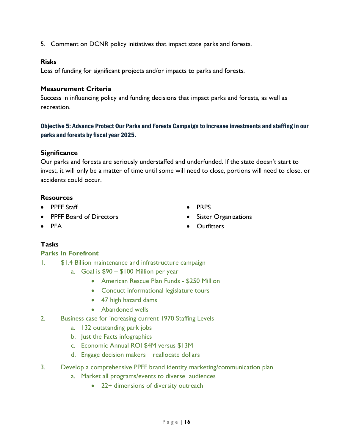5. Comment on DCNR policy initiatives that impact state parks and forests.

#### **Risks**

Loss of funding for significant projects and/or impacts to parks and forests.

#### **Measurement Criteria**

Success in influencing policy and funding decisions that impact parks and forests, as well as recreation.

# <span id="page-15-0"></span>Objective 5: Advance Protect Our Parks and Forests Campaign to increase investments and staffing in our parks and forests by fiscal year 2025.

#### **Significance**

Our parks and forests are seriously understaffed and underfunded. If the state doesn't start to invest, it will only be a matter of time until some will need to close, portions will need to close, or accidents could occur.

#### **Resources**

- PPFF Staff
- PPFF Board of Directors

 $\bullet$  PRPS

**•** Outfitters

• Sister Organizations

 $\bullet$  PFA

# **Tasks**

# **Parks In Forefront**

- 1. \$1.4 Billion maintenance and infrastructure campaign
	- a. Goal is \$90 \$100 Million per year
		- American Rescue Plan Funds \$250 Million
		- Conduct informational legislature tours
		- 47 high hazard dams
		- Abandoned wells
- 2. Business case for increasing current 1970 Staffing Levels
	- a. 132 outstanding park jobs
	- b. Just the Facts infographics
	- c. Economic Annual ROI \$4M versus \$13M
	- d. Engage decision makers reallocate dollars
- 3. Develop a comprehensive PPFF brand identity marketing/communication plan
	- a. Market all programs/events to diverse audiences
		- 22+ dimensions of diversity outreach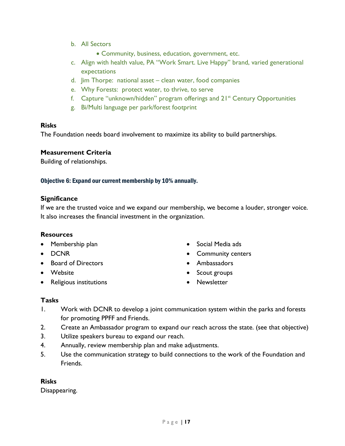- b. All Sectors
	- Community, business, education, government, etc.
- c. Align with health value, PA "Work Smart. Live Happy" brand, varied generational expectations
- d. Jim Thorpe: national asset clean water, food companies
- e. Why Forests: protect water, to thrive, to serve
- f. Capture "unknown/hidden" program offerings and 21<sup>st</sup> Century Opportunities
- g. Bi/Multi language per park/forest footprint

The Foundation needs board involvement to maximize its ability to build partnerships.

# **Measurement Criteria**

Building of relationships.

# <span id="page-16-0"></span>Objective 6: Expand our current membership by 10% annually.

# **Significance**

If we are the trusted voice and we expand our membership, we become a louder, stronger voice. It also increases the financial investment in the organization.

# **Resources**

- Membership plan
- DCNR
- Board of Directors
- Website
- Religious institutions
- Social Media ads
- Community centers
- Ambassadors
- Scout groups
- Newsletter

# **Tasks**

- 1. Work with DCNR to develop a joint communication system within the parks and forests for promoting PPFF and Friends.
- 2. Create an Ambassador program to expand our reach across the state. (see that objective)
- 3. Utilize speakers bureau to expand our reach.
- 4. Annually, review membership plan and make adjustments.
- 5. Use the communication strategy to build connections to the work of the Foundation and Friends.

# **Risks**

Disappearing.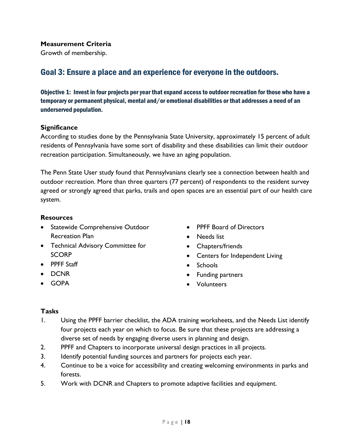#### **Measurement Criteria**

Growth of membership.

# <span id="page-17-0"></span>Goal 3: Ensure a place and an experience for everyone in the outdoors.

<span id="page-17-1"></span>Objective 1: Invest in four projects per year that expand access to outdoor recreation for those who have a temporary or permanent physical, mental and/or emotional disabilities or that addresses a need of an underserved population.

#### **Significance**

According to studies done by the Pennsylvania State University, approximately 15 percent of adult residents of Pennsylvania have some sort of disability and these disabilities can limit their outdoor recreation participation. Simultaneously, we have an aging population.

The Penn State User study found that Pennsylvanians clearly see a connection between health and outdoor recreation. More than three quarters (77 percent) of respondents to the resident survey agreed or strongly agreed that parks, trails and open spaces are an essential part of our health care system.

#### **Resources**

- **•** Statewide Comprehensive Outdoor Recreation Plan
- Technical Advisory Committee for **SCORP**
- PPFF Staff
- DCNR
- GOPA
- PPFF Board of Directors
- Needs list
- Chapters/friends
- Centers for Independent Living
- Schools
- Funding partners
- Volunteers

- 1. Using the PPFF barrier checklist, the ADA training worksheets, and the Needs List identify four projects each year on which to focus. Be sure that these projects are addressing a diverse set of needs by engaging diverse users in planning and design.
- 2. PPFF and Chapters to incorporate universal design practices in all projects.
- 3. Identify potential funding sources and partners for projects each year.
- 4. Continue to be a voice for accessibility and creating welcoming environments in parks and forests.
- 5. Work with DCNR and Chapters to promote adaptive facilities and equipment.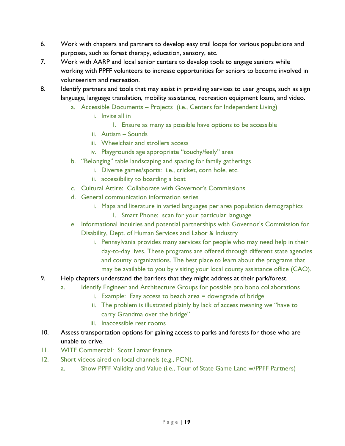- 6. Work with chapters and partners to develop easy trail loops for various populations and purposes, such as forest therapy, education, sensory, etc.
- 7. Work with AARP and local senior centers to develop tools to engage seniors while working with PPFF volunteers to increase opportunities for seniors to become involved in volunteerism and recreation.
- 8. Identify partners and tools that may assist in providing services to user groups, such as sign language, language translation, mobility assistance, recreation equipment loans, and video.
	- a. Accessible Documents Projects (i.e., Centers for Independent Living)
		- i. Invite all in
			- 1. Ensure as many as possible have options to be accessible
		- ii. Autism Sounds
		- iii. Wheelchair and strollers access
		- iv. Playgrounds age appropriate "touchy/feely" area
	- b. "Belonging" table landscaping and spacing for family gatherings
		- i. Diverse games/sports: i.e., cricket, corn hole, etc.
		- ii. accessibility to boarding a boat
	- c. Cultural Attire: Collaborate with Governor's Commissions
	- d. General communication information series
		- i. Maps and literature in varied languages per area population demographics
			- 1. Smart Phone: scan for your particular language
	- e. Informational inquiries and potential partnerships with Governor's Commission for Disability, Dept. of Human Services and Labor & Industry
		- i. Pennsylvania provides many services for people who may need help in their day-to-day lives. These programs are offered through different state agencies and county organizations. The best place to learn about the programs that may be available to you by visiting your local county assistance office (CAO).
- 9. Help chapters understand the barriers that they might address at their park/forest.
	- a. Identify Engineer and Architecture Groups for possible pro bono collaborations
		- i. Example: Easy access to beach area  $=$  downgrade of bridge
		- ii. The problem is illustrated plainly by lack of access meaning we "have to carry Grandma over the bridge"
		- iii. Inaccessible rest rooms
- 10. Assess transportation options for gaining access to parks and forests for those who are unable to drive.
- 11. WITF Commercial: Scott Lamar feature
- 12. Short videos aired on local channels (e.g., PCN).
	- a. Show PPFF Validity and Value (i.e., Tour of State Game Land w/PPFF Partners)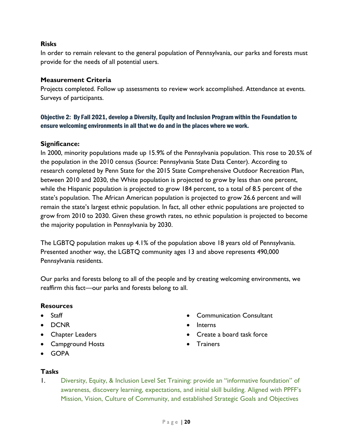In order to remain relevant to the general population of Pennsylvania, our parks and forests must provide for the needs of all potential users.

# **Measurement Criteria**

Projects completed. Follow up assessments to review work accomplished. Attendance at events. Surveys of participants.

# <span id="page-19-0"></span>Objective 2: By Fall 2021, develop a Diversity, Equity and Inclusion Program within the Foundation to ensure welcoming environments in all that we do and in the places where we work.

# **Significance:**

In 2000, minority populations made up 15.9% of the Pennsylvania population. This rose to 20.5% of the population in the 2010 census (Source: Pennsylvania State Data Center). According to research completed by Penn State for the 2015 State Comprehensive Outdoor Recreation Plan, between 2010 and 2030, the White population is projected to grow by less than one percent, while the Hispanic population is projected to grow 184 percent, to a total of 8.5 percent of the state's population. The African American population is projected to grow 26.6 percent and will remain the state's largest ethnic population. In fact, all other ethnic populations are projected to grow from 2010 to 2030. Given these growth rates, no ethnic population is projected to become the majority population in Pennsylvania by 2030.

The LGBTQ population makes up 4.1% of the population above 18 years old of Pennsylvania. Presented another way, the LGBTQ community ages 13 and above represents 490,000 Pennsylvania residents.

Our parks and forests belong to all of the people and by creating welcoming environments, we reaffirm this fact—our parks and forests belong to all.

# **Resources**

- Staff
- DCNR
- Chapter Leaders
- Campground Hosts
- Communication Consultant
- Interns
- Create a board task force
- **•** Trainers

GOPA

# **Tasks**

1. Diversity, Equity, & Inclusion Level Set Training: provide an "informative foundation" of awareness, discovery learning, expectations, and initial skill building. Aligned with PPFF's Mission, Vision, Culture of Community, and established Strategic Goals and Objectives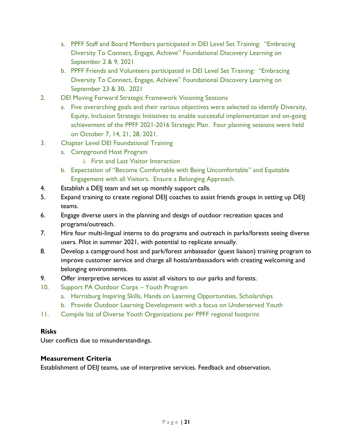- a. PPFF Staff and Board Members participated in DEI Level Set Training: "Embracing Diversity To Connect, Engage, Achieve" Foundational Discovery Learning on September 2 & 9, 2021
- b. PPFF Friends and Volunteers participated in DEI Level Set Training: "Embracing Diversity To Connect, Engage, Achieve" Foundational Discovery Learning on September 23 & 30, 2021
- 2. DEI Moving Forward Strategic Framework Visioning Sessions
	- a. Five overarching goals and their various objectives were selected to identify Diversity, Equity, Inclusion Strategic Initiatives to enable successful implementation and on-going achievement of the PPFF 2021-2016 Strategic Plan. Four planning sessions were held on October 7, 14, 21, 28, 2021.
- 3. Chapter Level DEI Foundational Training
	- a. Campground Host Program
		- i. First and Last Visitor Interaction
	- b. Expectation of "Become Comfortable with Being Uncomfortable" and Equitable Engagement with all Visitors. Ensure a Belonging Approach.
- 4. Establish a DEIJ team and set up monthly support calls.
- 5. Expand training to create regional DEIJ coaches to assist friends groups in setting up DEIJ teams.
- 6. Engage diverse users in the planning and design of outdoor recreation spaces and programs/outreach.
- 7. Hire four multi-lingual interns to do programs and outreach in parks/forests seeing diverse users. Pilot in summer 2021, with potential to replicate annually.
- 8. Develop a campground host and park/forest ambassador (guest liaison) training program to improve customer service and charge all hosts/ambassadors with creating welcoming and belonging environments.
- 9. Offer interpretive services to assist all visitors to our parks and forests.
- 10. Support PA Outdoor Corps Youth Program
	- a. Harrisburg Inspiring Skills, Hands on Learning Opportunities, Scholarships
	- b. Provide Outdoor Learning Development with a focus on Underserved Youth
- 11. Compile list of Diverse Youth Organizations per PPFF regional footprint

User conflicts due to misunderstandings.

# **Measurement Criteria**

Establishment of DEIJ teams, use of interpretive services. Feedback and observation.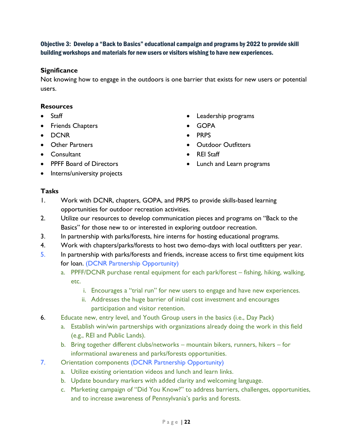<span id="page-21-0"></span>Objective 3: Develop a "Back to Basics" educational campaign and programs by 2022 to provide skill building workshops and materials for new users or visitors wishing to have new experiences.

# **Significance**

Not knowing how to engage in the outdoors is one barrier that exists for new users or potential users.

# **Resources**

- Staff
- Friends Chapters
- DCNR
- Other Partners
- Consultant
- PPFF Board of Directors
- Interns/university projects
- Leadership programs
- GOPA
- PRPS
- Outdoor Outfitters
- REI Staff
- Lunch and Learn programs

- 1. Work with DCNR, chapters, GOPA, and PRPS to provide skills-based learning opportunities for outdoor recreation activities.
- 2. Utilize our resources to develop communication pieces and programs on "Back to the Basics" for those new to or interested in exploring outdoor recreation.
- 3. In partnership with parks/forests, hire interns for hosting educational programs.
- 4. Work with chapters/parks/forests to host two demo-days with local outfitters per year.
- 5. In partnership with parks/forests and friends, increase access to first time equipment kits for loan. (DCNR Partnership Opportunity)
	- a. PPFF/DCNR purchase rental equipment for each park/forest fishing, hiking, walking, etc.
		- i. Encourages a "trial run" for new users to engage and have new experiences.
		- ii. Addresses the huge barrier of initial cost investment and encourages participation and visitor retention.
- 6. Educate new, entry level, and Youth Group users in the basics (i.e., Day Pack)
	- a. Establish win/win partnerships with organizations already doing the work in this field (e.g., REI and Public Lands).
	- b. Bring together different clubs/networks mountain bikers, runners, hikers for informational awareness and parks/forests opportunities.
- 7. Orientation components (DCNR Partnership Opportunity)
	- a. Utilize existing orientation videos and lunch and learn links.
	- b. Update boundary markers with added clarity and welcoming language.
	- c. Marketing campaign of "Did You Know?" to address barriers, challenges, opportunities, and to increase awareness of Pennsylvania's parks and forests.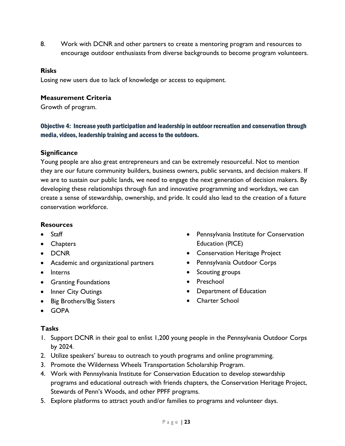8. Work with DCNR and other partners to create a mentoring program and resources to encourage outdoor enthusiasts from diverse backgrounds to become program volunteers.

#### **Risks**

Losing new users due to lack of knowledge or access to equipment.

#### **Measurement Criteria**

Growth of program.

# <span id="page-22-0"></span>Objective 4: Increase youth participation and leadership in outdoor recreation and conservation through media, videos, leadership training and access to the outdoors.

# **Significance**

Young people are also great entrepreneurs and can be extremely resourceful. Not to mention they are our future community builders, business owners, public servants, and decision makers. If we are to sustain our public lands, we need to engage the next generation of decision makers. By developing these relationships through fun and innovative programming and workdays, we can create a sense of stewardship, ownership, and pride. It could also lead to the creation of a future conservation workforce.

#### **Resources**

- Staff
- Chapters
- DCNR
- Academic and organizational partners
- Interns
- **•** Granting Foundations
- Inner City Outings
- Big Brothers/Big Sisters
- Pennsylvania Institute for Conservation Education (PICE)
- Conservation Heritage Project
- Pennsylvania Outdoor Corps
- Scouting groups
- Preschool
- Department of Education
- Charter School

GOPA

- 1. Support DCNR in their goal to enlist 1,200 young people in the Pennsylvania Outdoor Corps by 2024.
- 2. Utilize speakers' bureau to outreach to youth programs and online programming.
- 3. Promote the Wilderness Wheels Transportation Scholarship Program.
- 4. Work with Pennsylvania Institute for Conservation Education to develop stewardship programs and educational outreach with friends chapters, the Conservation Heritage Project, Stewards of Penn's Woods, and other PPFF programs.
- 5. Explore platforms to attract youth and/or families to programs and volunteer days.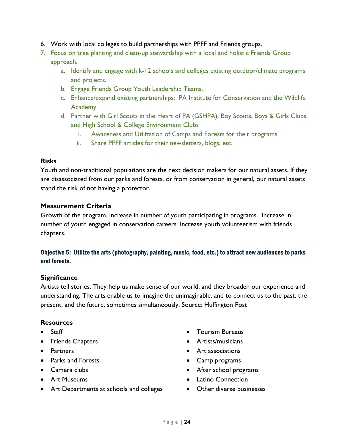- 6. Work with local colleges to build partnerships with PPFF and Friends groups.
- 7. Focus on tree planting and clean-up stewardship with a local and holistic Friends Group approach.
	- a. Identify and engage with k-12 schools and colleges existing outdoor/climate programs and projects.
	- b. Engage Friends Group Youth Leadership Teams.
	- c. Enhance/expand existing partnerships: PA Institute for Conservation and the Wildlife Academy
	- d. Partner with Girl Scouts in the Heart of PA (GSHPA), Boy Scouts, Boys & Girls Clubs, and High School & College Environment Clubs
		- i. Awareness and Utilization of Camps and Forests for their programs
		- ii. Share PPFF articles for their newsletters, blogs, etc.

Youth and non-traditional populations are the next decision makers for our natural assets. If they are disassociated from our parks and forests, or from conservation in general, our natural assets stand the risk of not having a protector.

# **Measurement Criteria**

Growth of the program. Increase in number of youth participating in programs. Increase in number of youth engaged in conservation careers. Increase youth volunteerism with friends chapters.

# <span id="page-23-0"></span>Objective 5: Utilize the arts (photography, painting, music, food, etc.) to attract new audiences to parks and forests.

# **Significance**

Artists tell stories. They help us make sense of our world, and they broaden our experience and understanding. The arts enable us to imagine the unimaginable, and to connect us to the past, the present, and the future, sometimes simultaneously. Source: Huffington Post

# **Resources**

- Staff
- Friends Chapters
- Partners
- Parks and Forests
- Camera clubs
- Art Museums
- Art Departments at schools and colleges
- Tourism Bureaus
- **•** Artists/musicians
- Art associations
- Camp programs
- After school programs
- Latino Connection
- Other diverse businesses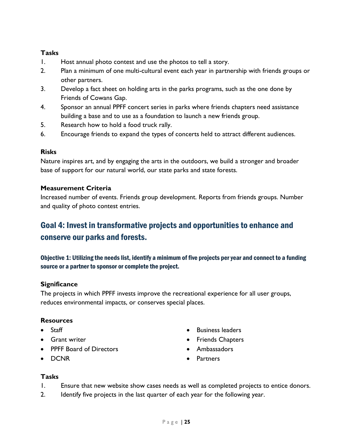# **Tasks**

- 1. Host annual photo contest and use the photos to tell a story.
- 2. Plan a minimum of one multi-cultural event each year in partnership with friends groups or other partners.
- 3. Develop a fact sheet on holding arts in the parks programs, such as the one done by Friends of Cowans Gap.
- 4. Sponsor an annual PPFF concert series in parks where friends chapters need assistance building a base and to use as a foundation to launch a new friends group.
- 5. Research how to hold a food truck rally.
- 6. Encourage friends to expand the types of concerts held to attract different audiences.

# **Risks**

Nature inspires art, and by engaging the arts in the outdoors, we build a stronger and broader base of support for our natural world, our state parks and state forests.

# **Measurement Criteria**

Increased number of events. Friends group development. Reports from friends groups. Number and quality of photo contest entries.

# <span id="page-24-0"></span>Goal 4: Invest in transformative projects and opportunities to enhance and conserve our parks and forests.

<span id="page-24-1"></span>Objective 1: Utilizing the needs list, identify a minimum of five projects per year and connect to a funding source or a partner to sponsor or complete the project.

# **Significance**

The projects in which PPFF invests improve the recreational experience for all user groups, reduces environmental impacts, or conserves special places.

# **Resources**

- Staff
- **Grant writer**
- PPFF Board of Directors
- DCNR
- Business leaders
- Friends Chapters
- Ambassadors
- **Partners**

- 1. Ensure that new website show cases needs as well as completed projects to entice donors.
- 2. Identify five projects in the last quarter of each year for the following year.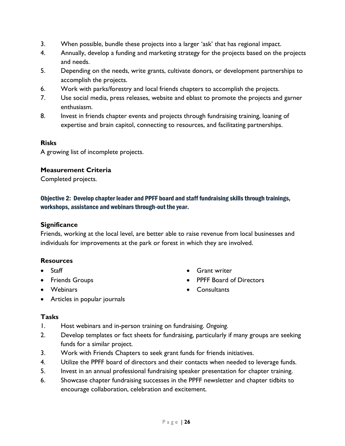- 3. When possible, bundle these projects into a larger 'ask' that has regional impact.
- 4. Annually, develop a funding and marketing strategy for the projects based on the projects and needs.
- 5. Depending on the needs, write grants, cultivate donors, or development partnerships to accomplish the projects.
- 6. Work with parks/forestry and local friends chapters to accomplish the projects.
- 7. Use social media, press releases, website and eblast to promote the projects and garner enthusiasm.
- 8. Invest in friends chapter events and projects through fundraising training, loaning of expertise and brain capitol, connecting to resources, and facilitating partnerships.

A growing list of incomplete projects.

#### **Measurement Criteria**

Completed projects.

# <span id="page-25-0"></span>Objective 2: Develop chapter leader and PPFF board and staff fundraising skills through trainings, workshops, assistance and webinars through-out the year.

#### **Significance**

Friends, working at the local level, are better able to raise revenue from local businesses and individuals for improvements at the park or forest in which they are involved.

#### **Resources**

- Staff
- **•** Friends Groups
- Webinars
- **•** Grant writer
- **PPFF Board of Directors**
- Consultants

Articles in popular journals

- 1. Host webinars and in-person training on fundraising. *Ongoing.*
- 2. Develop templates or fact sheets for fundraising, particularly if many groups are seeking funds for a similar project.
- 3. Work with Friends Chapters to seek grant funds for friends initiatives.
- 4. Utilize the PPFF board of directors and their contacts when needed to leverage funds.
- 5. Invest in an annual professional fundraising speaker presentation for chapter training.
- 6. Showcase chapter fundraising successes in the PPFF newsletter and chapter tidbits to encourage collaboration, celebration and excitement.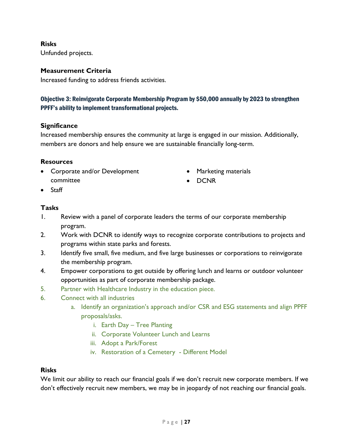Unfunded projects.

# **Measurement Criteria**

Increased funding to address friends activities.

# <span id="page-26-0"></span>Objective 3: Reinvigorate Corporate Membership Program by \$50,000 annually by 2023 to strengthen PPFF's ability to implement transformational projects.

# **Significance**

Increased membership ensures the community at large is engaged in our mission. Additionally, members are donors and help ensure we are sustainable financially long-term.

#### **Resources**

- Corporate and/or Development committee
- Marketing materials
- DCNR

• Staff

# **Tasks**

- 1. Review with a panel of corporate leaders the terms of our corporate membership program.
- 2. Work with DCNR to identify ways to recognize corporate contributions to projects and programs within state parks and forests.
- 3. Identify five small, five medium, and five large businesses or corporations to reinvigorate the membership program.
- 4. Empower corporations to get outside by offering lunch and learns or outdoor volunteer opportunities as part of corporate membership package.
- 5. Partner with Healthcare Industry in the education piece.
- 6. Connect with all industries
	- a. Identify an organization's approach and/or CSR and ESG statements and align PPFF proposals/asks.
		- i. Earth Day Tree Planting
		- ii. Corporate Volunteer Lunch and Learns
		- iii. Adopt a Park/Forest
		- iv. Restoration of a Cemetery Different Model

# **Risks**

We limit our ability to reach our financial goals if we don't recruit new corporate members. If we don't effectively recruit new members, we may be in jeopardy of not reaching our financial goals.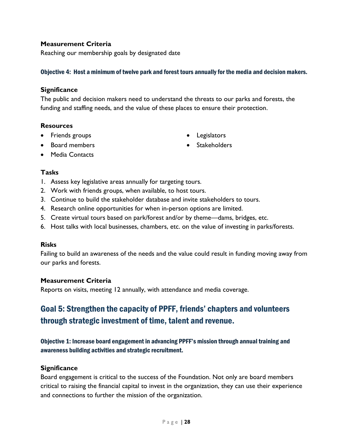# **Measurement Criteria**

Reaching our membership goals by designated date

#### <span id="page-27-0"></span>Objective 4: Host a minimum of twelve park and forest tours annually for the media and decision makers.

#### **Significance**

The public and decision makers need to understand the threats to our parks and forests, the funding and staffing needs, and the value of these places to ensure their protection.

#### **Resources**

- Friends groups
- Board members

 Legislators • Stakeholders

• Media Contacts

#### **Tasks**

- 1. Assess key legislative areas annually for targeting tours.
- 2. Work with friends groups, when available, to host tours.
- 3. Continue to build the stakeholder database and invite stakeholders to tours.
- 4. Research online opportunities for when in-person options are limited.
- 5. Create virtual tours based on park/forest and/or by theme—dams, bridges, etc.
- 6. Host talks with local businesses, chambers, etc. on the value of investing in parks/forests.

#### **Risks**

Failing to build an awareness of the needs and the value could result in funding moving away from our parks and forests.

# **Measurement Criteria**

Reports on visits, meeting 12 annually, with attendance and media coverage.

# <span id="page-27-1"></span>Goal 5: Strengthen the capacity of PPFF, friends' chapters and volunteers through strategic investment of time, talent and revenue.

# <span id="page-27-2"></span>Objective 1: Increase board engagement in advancing PPFF's mission through annual training and awareness building activities and strategic recruitment.

# **Significance**

Board engagement is critical to the success of the Foundation. Not only are board members critical to raising the financial capital to invest in the organization, they can use their experience and connections to further the mission of the organization.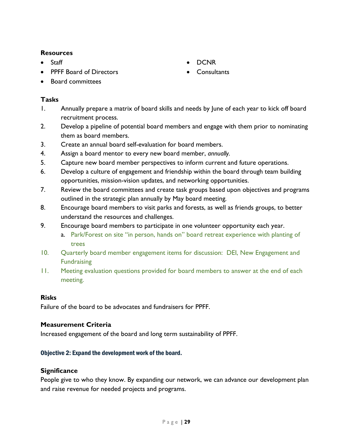# **Resources**

- Staff
- PPFF Board of Directors
- Board committees

# **Tasks**

- 1. Annually prepare a matrix of board skills and needs by June of each year to kick off board recruitment process.
- 2. Develop a pipeline of potential board members and engage with them prior to nominating them as board members.
- 3. Create an annual board self-evaluation for board members.
- 4. Assign a board mentor to every new board member, *annually.*
- 5. Capture new board member perspectives to inform current and future operations.
- 6. Develop a culture of engagement and friendship within the board through team building opportunities, mission-vision updates, and networking opportunities.
- 7. Review the board committees and create task groups based upon objectives and programs outlined in the strategic plan annually by May board meeting*.*
- 8. Encourage board members to visit parks and forests, as well as friends groups, to better understand the resources and challenges.
- 9. Encourage board members to participate in one volunteer opportunity each year.
	- a. Park/Forest on site "in person, hands on" board retreat experience with planting of trees
- 10. Quarterly board member engagement items for discussion: DEI, New Engagement and **Fundraising**
- 11. Meeting evaluation questions provided for board members to answer at the end of each meeting.

# **Risks**

Failure of the board to be advocates and fundraisers for PPFF.

# **Measurement Criteria**

Increased engagement of the board and long term sustainability of PPFF.

# <span id="page-28-0"></span>Objective 2: Expand the development work of the board.

# **Significance**

People give to who they know. By expanding our network, we can advance our development plan and raise revenue for needed projects and programs.

- DCNR
- Consultants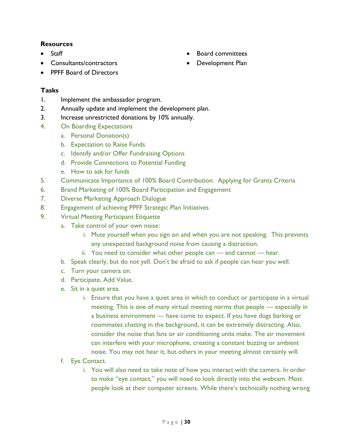# **Resources**

- **Staff**
- Consultants/contractors
- Board committees
- Development Plan

PPFF Board of Directors

- 1. Implement the ambassador program.
- 2. Annually update and implement the development plan.
- 3. Increase unrestricted donations by 10% annually.
- 4. On Boarding Expectations
	- a. Personal Donation(s)
	- b. Expectation to Raise Funds
	- c. Identify and/or Offer Fundraising Options
	- d. Provide Connections to Potential Funding
	- e. How to ask for funds
- 5. Communicate Importance of 100% Board Contribution: Applying for Grants Criteria
- 6. Brand Marketing of 100% Board Participation and Engagement
- 7. Diverse Marketing Approach Dialogue
- 8. Engagement of achieving PPFF Strategic Plan Initiatives
- 9. Virtual Meeting Participant Etiquette
	- a. Take control of your own noise:
		- i. Mute yourself when you sign on and when you are not speaking. This prevents any unexpected background noise from causing a distraction.
		- ii. You need to consider what other people can and cannot hear.
	- b. Speak clearly, but do not yell. Don't be afraid to ask if people can hear you well.
	- c. Turn your camera on.
	- d. Participate, Add Value.
	- e. Sit in a quiet area.
		- i. Ensure that you have a quiet area in which to conduct or participate in a virtual meeting. This is one of many virtual meeting norms that people — especially in a business environment — have come to expect. If you have dogs barking or roommates chatting in the background, it can be extremely distracting. Also, consider the noise that fans or air conditioning units make. The air movement can interfere with your microphone, creating a constant buzzing or ambient noise. You may not hear it, but others in your meeting almost certainly will.
	- f. Eye Contact.
		- i. You will also need to take note of how you interact with the camera. In order to make "eye contact," you will need to look directly into the webcam. Most people look at their computer screens. While there's technically nothing wrong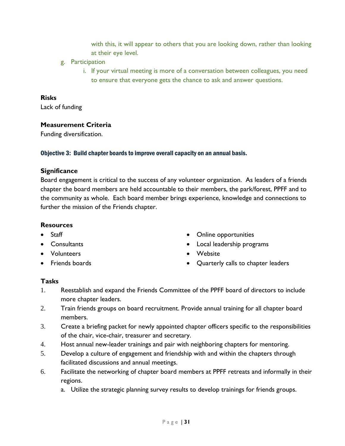with this, it will appear to others that you are looking down, rather than looking at their eye level.

- g. Participation
	- i. If your virtual meeting is more of a conversation between colleagues, you need to ensure that everyone gets the chance to ask and answer questions.

#### **Risks**

Lack of funding

#### **Measurement Criteria**

Funding diversification.

#### <span id="page-30-0"></span>Objective 3: Build chapter boards to improve overall capacity on an annual basis.

#### **Significance**

Board engagement is critical to the success of any volunteer organization. As leaders of a friends chapter the board members are held accountable to their members, the park/forest, PPFF and to the community as whole. Each board member brings experience, knowledge and connections to further the mission of the Friends chapter.

#### **Resources**

- Staff
- **Consultants**
- Volunteers
- Friends boards
- Online opportunities
- Local leadership programs
- Website
- Quarterly calls to chapter leaders

- 1. Reestablish and expand the Friends Committee of the PPFF board of directors to include more chapter leaders.
- 2. Train friends groups on board recruitment. Provide annual training for all chapter board members.
- 3. Create a briefing packet for newly appointed chapter officers specific to the responsibilities of the chair, vice-chair, treasurer and secretary.
- 4. Host annual new-leader trainings and pair with neighboring chapters for mentoring.
- 5. Develop a culture of engagement and friendship with and within the chapters through facilitated discussions and annual meetings.
- 6. Facilitate the networking of chapter board members at PPFF retreats and informally in their regions.
	- a. Utilize the strategic planning survey results to develop trainings for friends groups.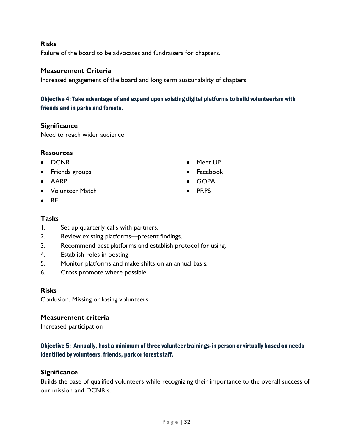Failure of the board to be advocates and fundraisers for chapters.

#### **Measurement Criteria**

Increased engagement of the board and long term sustainability of chapters.

<span id="page-31-0"></span>Objective 4: Take advantage of and expand upon existing digital platforms to build volunteerism with friends and in parks and forests.

#### **Significance**

Need to reach wider audience

#### **Resources**

- DCNR
- Friends groups
- AARP
- Volunteer Match
- $\bullet$  REI

#### **Tasks**

- 1. Set up quarterly calls with partners.
- 2. Review existing platforms—present findings.
- 3. Recommend best platforms and establish protocol for using.
- 4. Establish roles in posting
- 5. Monitor platforms and make shifts on an annual basis.
- 6. Cross promote where possible.

#### **Risks**

Confusion. Missing or losing volunteers.

#### **Measurement criteria**

Increased participation

# <span id="page-31-1"></span>Objective 5: Annually, host a minimum of three volunteer trainings-in person or virtually based on needs identified by volunteers, friends, park or forest staff.

#### **Significance**

Builds the base of qualified volunteers while recognizing their importance to the overall success of our mission and DCNR's.

- Meet UP
- Facebook
- GOPA
- $\bullet$  PRPS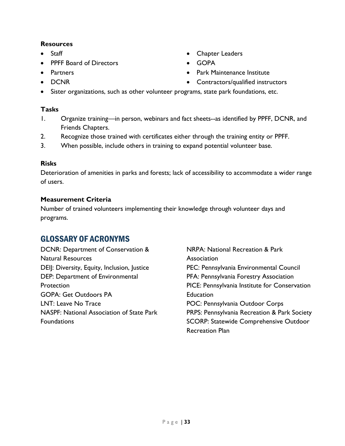# **Resources**

- Staff
- PPFF Board of Directors
- **•** Partners
- DCNR
- Contractors/qualified instructors Sister organizations, such as other volunteer programs, state park foundations, etc.

# **Tasks**

1. Organize training—in person, webinars and fact sheets--as identified by PPFF, DCNR, and Friends Chapters.

Chapter Leaders

• Park Maintenance Institute

GOPA

- 2. Recognize those trained with certificates either through the training entity or PPFF.
- 3. When possible, include others in training to expand potential volunteer base.

# **Risks**

Deterioration of amenities in parks and forests; lack of accessibility to accommodate a wider range of users.

# **Measurement Criteria**

Number of trained volunteers implementing their knowledge through volunteer days and programs.

# <span id="page-32-0"></span>GLOSSARY OF ACRONYMS

DCNR: Department of Conservation & Natural Resources DEIJ: Diversity, Equity, Inclusion, Justice DEP: Department of Environmental **Protection** GOPA: Get Outdoors PA LNT: Leave No Trace NASPF: National Association of State Park **Foundations** 

NRPA: National Recreation & Park **Association** PEC: Pennsylvania Environmental Council PFA: Pennsylvania Forestry Association PICE: Pennsylvania Institute for Conservation Education POC: Pennsylvania Outdoor Corps PRPS: Pennsylvania Recreation & Park Society SCORP: Statewide Comprehensive Outdoor Recreation Plan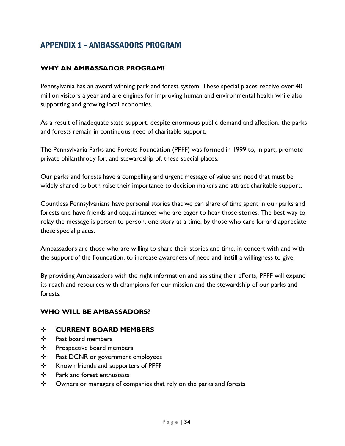# <span id="page-33-0"></span>APPENDIX 1 – AMBASSADORS PROGRAM

# **WHY AN AMBASSADOR PROGRAM?**

Pennsylvania has an award winning park and forest system. These special places receive over 40 million visitors a year and are engines for improving human and environmental health while also supporting and growing local economies.

As a result of inadequate state support, despite enormous public demand and affection, the parks and forests remain in continuous need of charitable support.

The Pennsylvania Parks and Forests Foundation (PPFF) was formed in 1999 to, in part, promote private philanthropy for, and stewardship of, these special places.

Our parks and forests have a compelling and urgent message of value and need that must be widely shared to both raise their importance to decision makers and attract charitable support.

Countless Pennsylvanians have personal stories that we can share of time spent in our parks and forests and have friends and acquaintances who are eager to hear those stories. The best way to relay the message is person to person, one story at a time, by those who care for and appreciate these special places.

Ambassadors are those who are willing to share their stories and time, in concert with and with the support of the Foundation, to increase awareness of need and instill a willingness to give.

By providing Ambassadors with the right information and assisting their efforts, PPFF will expand its reach and resources with champions for our mission and the stewardship of our parks and forests.

# **WHO WILL BE AMBASSADORS?**

# **CURRENT BOARD MEMBERS**

- Past board members
- ❖ Prospective board members
- ❖ Past DCNR or government employees
- ❖ Known friends and supporters of PPFF
- Park and forest enthusiasts
- ❖ Owners or managers of companies that rely on the parks and forests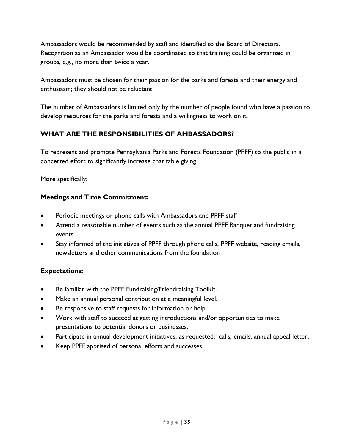Ambassadors would be recommended by staff and identified to the Board of Directors. Recognition as an Ambassador would be coordinated so that training could be organized in groups, e.g., no more than twice a year.

Ambassadors must be chosen for their passion for the parks and forests and their energy and enthusiasm; they should not be reluctant.

The number of Ambassadors is limited only by the number of people found who have a passion to develop resources for the parks and forests and a willingness to work on it.

# **WHAT ARE THE RESPONSIBILITIES OF AMBASSADORS?**

To represent and promote Pennsylvania Parks and Forests Foundation (PPFF) to the public in a concerted effort to significantly increase charitable giving.

More specifically:

# **Meetings and Time Commitment:**

- Periodic meetings or phone calls with Ambassadors and PPFF staff
- Attend a reasonable number of events such as the annual PPFF Banquet and fundraising events
- Stay informed of the initiatives of PPFF through phone calls, PPFF website, reading emails, newsletters and other communications from the foundation

# **Expectations:**

- Be familiar with the PPFF Fundraising/Friendraising Toolkit.
- Make an annual personal contribution at a meaningful level.
- Be responsive to staff requests for information or help.
- Work with staff to succeed at getting introductions and/or opportunities to make presentations to potential donors or businesses.
- Participate in annual development initiatives, as requested: calls, emails, annual appeal letter.
- Keep PPFF apprised of personal efforts and successes.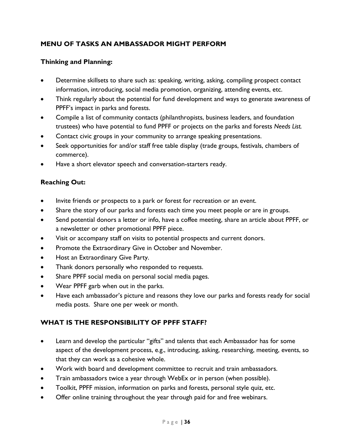# **MENU OF TASKS AN AMBASSADOR MIGHT PERFORM**

# **Thinking and Planning:**

- Determine skillsets to share such as: speaking, writing, asking, compiling prospect contact information, introducing, social media promotion, organizing, attending events, etc.
- Think regularly about the potential for fund development and ways to generate awareness of PPFF's impact in parks and forests.
- Compile a list of community contacts (philanthropists, business leaders, and foundation trustees) who have potential to fund PPFF or projects on the parks and forests *Needs List.*
- Contact civic groups in your community to arrange speaking presentations.
- Seek opportunities for and/or staff free table display (trade groups, festivals, chambers of commerce).
- Have a short elevator speech and conversation-starters ready.

# **Reaching Out:**

- Invite friends or prospects to a park or forest for recreation or an event.
- Share the story of our parks and forests each time you meet people or are in groups.
- Send potential donors a letter or info, have a coffee meeting, share an article about PPFF, or a newsletter or other promotional PPFF piece.
- Visit or accompany staff on visits to potential prospects and current donors.
- Promote the Extraordinary Give in October and November.
- Host an Extraordinary Give Party.
- Thank donors personally who responded to requests.
- Share PPFF social media on personal social media pages.
- Wear PPFF garb when out in the parks.
- Have each ambassador's picture and reasons they love our parks and forests ready for social media posts. Share one per week or month.

# **WHAT IS THE RESPONSIBILITY OF PPFF STAFF?**

- Learn and develop the particular "gifts" and talents that each Ambassador has for some aspect of the development process, e.g., introducing, asking, researching, meeting, events, so that they can work as a cohesive whole.
- Work with board and development committee to recruit and train ambassadors.
- Train ambassadors twice a year through WebEx or in person (when possible).
- Toolkit, PPFF mission, information on parks and forests, personal style quiz, etc.
- Offer online training throughout the year through paid for and free webinars.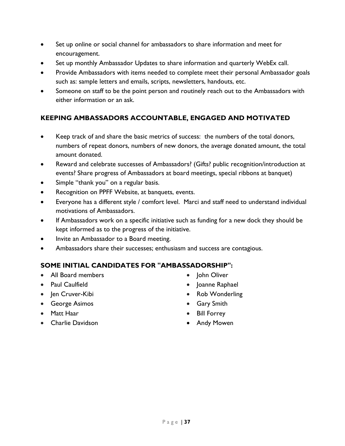- Set up online or social channel for ambassadors to share information and meet for encouragement.
- Set up monthly Ambassador Updates to share information and quarterly WebEx call.
- Provide Ambassadors with items needed to complete meet their personal Ambassador goals such as: sample letters and emails, scripts, newsletters, handouts, etc.
- Someone on staff to be the point person and routinely reach out to the Ambassadors with either information or an ask.

# **KEEPING AMBASSADORS ACCOUNTABLE, ENGAGED AND MOTIVATED**

- Keep track of and share the basic metrics of success: the numbers of the total donors, numbers of repeat donors, numbers of new donors, the average donated amount, the total amount donated.
- Reward and celebrate successes of Ambassadors? (Gifts? public recognition/introduction at events? Share progress of Ambassadors at board meetings, special ribbons at banquet)
- Simple "thank you" on a regular basis.
- Recognition on PPFF Website, at banquets, events.
- Everyone has a different style / comfort level. Marci and staff need to understand individual motivations of Ambassadors.
- If Ambassadors work on a specific initiative such as funding for a new dock they should be kept informed as to the progress of the initiative.
- Invite an Ambassador to a Board meeting.
- Ambassadors share their successes; enthusiasm and success are contagious.

# **SOME INITIAL CANDIDATES FOR "AMBASSADORSHIP":**

- All Board members
- Paul Caulfield
- Jen Cruver-Kibi
- George Asimos
- Matt Haar
- Charlie Davidson
- John Oliver
- Joanne Raphael
- Rob Wonderling
- Gary Smith
- Bill Forrey
- Andy Mowen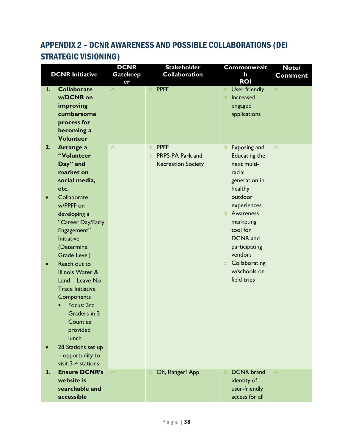# <span id="page-37-0"></span>APPENDIX 2 – DCNR AWARENESS AND POSSIBLE COLLABORATIONS (DEI STRATEGIC VISIONING)

|    | <b>DCNR Initiative</b>          | <b>DCNR</b><br><b>Gatekeep</b><br>er | <b>Stakeholder</b><br><b>Collaboration</b> | <b>Commonwealt</b><br>h<br><b>ROI</b>                   | Note/<br><b>Comment</b> |
|----|---------------------------------|--------------------------------------|--------------------------------------------|---------------------------------------------------------|-------------------------|
| I. | <b>Collaborate</b><br>w/DCNR on | $\circ$                              | <b>PPFF</b><br>$\circ$                     | User friendly<br>$\circ$<br><b>Increased</b><br>$\circ$ | $\circ$                 |
|    | improving                       |                                      |                                            | engaged                                                 |                         |
|    | cumbersome                      |                                      |                                            | applications                                            |                         |
|    | process for                     |                                      |                                            |                                                         |                         |
|    | becoming a                      |                                      |                                            |                                                         |                         |
|    | <b>Volunteer</b>                |                                      |                                            |                                                         |                         |
| 2. | Arrange a                       | $\circ$                              | <b>PPFF</b><br>$\circ$                     | Exposing and<br>$\circ$                                 | $\circ$                 |
|    | "Volunteer                      |                                      | PRPS-PA Park and<br>$\circ$                | <b>Educating the</b><br>next multi-                     |                         |
|    | Day" and<br>market on           |                                      | <b>Recreation Society</b>                  | racial                                                  |                         |
|    | social media,                   |                                      |                                            | generation in                                           |                         |
|    | etc.                            |                                      |                                            | healthy                                                 |                         |
|    | Collaborate                     |                                      |                                            | outdoor                                                 |                         |
|    | w/PPFF on                       |                                      |                                            | experiences                                             |                         |
|    | developing a                    |                                      |                                            | $\circ$ Awareness                                       |                         |
|    | "Career Day/Early               |                                      |                                            | marketing                                               |                         |
|    | Engagement"                     |                                      |                                            | tool for                                                |                         |
|    | <b>Initiative</b>               |                                      |                                            | <b>DCNR</b> and                                         |                         |
|    | (Determine                      |                                      |                                            | participating                                           |                         |
|    | <b>Grade Level)</b>             |                                      |                                            | vendors                                                 |                         |
|    | Reach out to                    |                                      |                                            | Collaborating<br>$\circ$                                |                         |
|    | Illinois Water &                |                                      |                                            | w/schools on                                            |                         |
|    | Land - Leave No                 |                                      |                                            | field trips                                             |                         |
|    | <b>Trace Initiative</b>         |                                      |                                            |                                                         |                         |
|    | Components<br>Focus: 3rd        |                                      |                                            |                                                         |                         |
|    | Graders in 3                    |                                      |                                            |                                                         |                         |
|    | <b>Counties</b>                 |                                      |                                            |                                                         |                         |
|    | provided                        |                                      |                                            |                                                         |                         |
|    | lunch                           |                                      |                                            |                                                         |                         |
|    | 28 Stations set up              |                                      |                                            |                                                         |                         |
|    | - opportunity to                |                                      |                                            |                                                         |                         |
|    | visit 3-4 stations              |                                      |                                            |                                                         |                         |
| 3. | <b>Ensure DCNR's</b>            | $\circ$                              | Oh, Ranger! App                            | <b>DCNR</b> brand<br>$\circ$                            | $\circ$                 |
|    | website is                      |                                      |                                            | identity of                                             |                         |
|    | searchable and                  |                                      |                                            | user-friendly                                           |                         |
|    | accessible                      |                                      |                                            | access for all                                          |                         |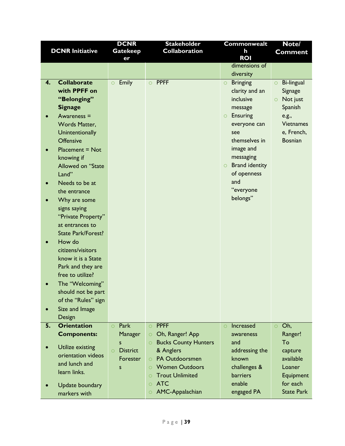|    |                        | <b>DCNR</b>                   | <b>Stakeholder</b>                     | <b>Commonwealt</b>               | Note/                        |
|----|------------------------|-------------------------------|----------------------------------------|----------------------------------|------------------------------|
|    | <b>DCNR Initiative</b> | <b>Gatekeep</b>               | <b>Collaboration</b>                   | h                                | <b>Comment</b>               |
|    |                        | er                            |                                        | <b>ROI</b>                       |                              |
|    |                        |                               |                                        | dimensions of                    |                              |
|    |                        |                               |                                        | diversity                        |                              |
| 4. | <b>Collaborate</b>     | <b>Emily</b><br>$\circ$       | $\circ$ PPFF                           | <b>Bringing</b><br>$\circ$       | <b>Bi-lingual</b><br>$\circ$ |
|    | with PPFF on           |                               |                                        | clarity and an                   | Signage                      |
|    | "Belonging"            |                               |                                        | inclusive                        | Not just<br>$\circ$          |
|    | <b>Signage</b>         |                               |                                        | message                          | Spanish                      |
|    | Awareness $=$          |                               |                                        | $\circ$ Ensuring                 | e.g.,                        |
|    | <b>Words Matter,</b>   |                               |                                        | everyone can                     | <b>Vietnames</b>             |
|    | Unintentionally        |                               |                                        | see                              | e, French,                   |
|    | <b>Offensive</b>       |                               |                                        | themselves in                    | <b>Bosnian</b>               |
|    | $Placement = Not$      |                               |                                        | image and                        |                              |
|    | knowing if             |                               |                                        | messaging                        |                              |
|    | Allowed on "State      |                               |                                        | <b>Brand identity</b><br>$\circ$ |                              |
|    | Land"                  |                               |                                        | of openness                      |                              |
|    | Needs to be at         |                               |                                        | and                              |                              |
|    | the entrance           |                               |                                        | "everyone                        |                              |
|    | Why are some           |                               |                                        | belongs"                         |                              |
|    | signs saying           |                               |                                        |                                  |                              |
|    | "Private Property"     |                               |                                        |                                  |                              |
|    | at entrances to        |                               |                                        |                                  |                              |
|    | State Park/Forest?     |                               |                                        |                                  |                              |
|    | How do                 |                               |                                        |                                  |                              |
|    | citizens/visitors      |                               |                                        |                                  |                              |
|    | know it is a State     |                               |                                        |                                  |                              |
|    | Park and they are      |                               |                                        |                                  |                              |
|    | free to utilize?       |                               |                                        |                                  |                              |
|    | The "Welcoming"        |                               |                                        |                                  |                              |
|    |                        |                               |                                        |                                  |                              |
|    | should not be part     |                               |                                        |                                  |                              |
|    | of the "Rules" sign    |                               |                                        |                                  |                              |
|    | Size and Image         |                               |                                        |                                  |                              |
|    | Design                 |                               |                                        |                                  |                              |
| 5. | <b>Orientation</b>     | Park<br>$\bigcirc$            | <b>PPFF</b><br>$\circ$                 | Increased<br>$\circ$             | Oh,<br>$\circ$               |
|    | <b>Components:</b>     | Manager                       | Oh, Ranger! App<br>$\circ$             | awareness                        | Ranger!                      |
|    | Utilize existing       | $\mathsf{s}$                  | <b>Bucks County Hunters</b><br>$\circ$ | and                              | To                           |
|    | orientation videos     | <b>District</b><br>$\bigcirc$ | & Anglers                              | addressing the                   | capture                      |
|    | and lunch and          | Forester                      | PA Outdoorsmen<br>$\overline{O}$       | known                            | available                    |
|    | learn links.           | S                             | <b>Women Outdoors</b><br>$\circ$       | challenges &                     | Loaner                       |
|    |                        |                               | <b>Trout Unlimited</b>                 | <b>barriers</b>                  | Equipment                    |
|    | Update boundary        |                               | <b>ATC</b><br>$\circ$                  | enable                           | for each                     |
|    | markers with           |                               | AMC-Appalachian<br>$\circ$             | engaged PA                       | <b>State Park</b>            |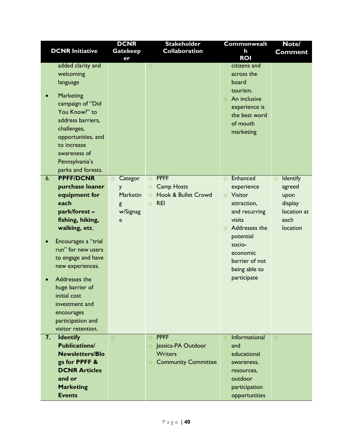|                                                                                                                                                                                                                                                                                                                                                                                                                                                                                                                                                                                       | <b>DCNR</b>                                                            | <b>Stakeholder</b>                                                                                                                      | Commonwealt                                                                                                                                                                                                                                                                                                                                       | Note/                                                                               |
|---------------------------------------------------------------------------------------------------------------------------------------------------------------------------------------------------------------------------------------------------------------------------------------------------------------------------------------------------------------------------------------------------------------------------------------------------------------------------------------------------------------------------------------------------------------------------------------|------------------------------------------------------------------------|-----------------------------------------------------------------------------------------------------------------------------------------|---------------------------------------------------------------------------------------------------------------------------------------------------------------------------------------------------------------------------------------------------------------------------------------------------------------------------------------------------|-------------------------------------------------------------------------------------|
| <b>DCNR Initiative</b>                                                                                                                                                                                                                                                                                                                                                                                                                                                                                                                                                                | <b>Gatekeep</b>                                                        | <b>Collaboration</b>                                                                                                                    | h<br><b>ROI</b>                                                                                                                                                                                                                                                                                                                                   | <b>Comment</b>                                                                      |
| added clarity and<br>welcoming<br>language<br><b>Marketing</b><br>campaign of "Did<br>You Know?" to<br>address barriers,<br>challenges,<br>opportunities, and<br>to increase<br>awareness of<br>Pennsylvania's<br>parks and forests.<br><b>PPFF/DCNR</b><br>6.<br>purchase loaner<br>equipment for<br>each<br>park/forest-<br>fishing, hiking,<br>walking, etc.<br>Encourages a "trial<br>run" for new users<br>to engage and have<br>new experiences.<br>Addresses the<br>huge barrier of<br>initial cost<br>investment and<br>encourages<br>participation and<br>visitor retention. | er<br>Categor<br>$\circ$<br>y<br><b>Marketin</b><br>g<br>w/Signag<br>e | $\circ$<br><b>PPFF</b><br>$\circ$<br><b>Camp Hosts</b><br>$\circ$<br><b>Hook &amp; Bullet Crowd</b><br>$\circ$<br><b>REI</b><br>$\circ$ | citizens and<br>across the<br>board<br>tourism.<br>An inclusive<br>$\bigcirc$<br>experience is<br>the best word<br>of mouth<br>marketing<br>Enhanced<br>$\circ$<br>experience<br><b>O</b> Visitor<br>attraction,<br>and recurring<br>visits<br>Addresses the<br>potential<br>socio-<br>economic<br>barrier of not<br>being able to<br>participate | Identify<br>$\circ$<br>agreed<br>upon<br>display<br>location at<br>each<br>location |
| 7.<br><b>Identify</b>                                                                                                                                                                                                                                                                                                                                                                                                                                                                                                                                                                 | $\circ$                                                                | <b>PPFF</b><br>$\circ$                                                                                                                  | Informational<br>$\circ$                                                                                                                                                                                                                                                                                                                          | $\circ$                                                                             |
| <b>Publications/</b><br><b>Newsletters/Blo</b>                                                                                                                                                                                                                                                                                                                                                                                                                                                                                                                                        |                                                                        | Jessica-PA Outdoor<br>$\circ$                                                                                                           | and                                                                                                                                                                                                                                                                                                                                               |                                                                                     |
| gs for PPFF &                                                                                                                                                                                                                                                                                                                                                                                                                                                                                                                                                                         |                                                                        | <b>Writers</b><br><b>Community Committee</b><br>$\circ$                                                                                 | educational<br>awareness,                                                                                                                                                                                                                                                                                                                         |                                                                                     |
| <b>DCNR Articles</b>                                                                                                                                                                                                                                                                                                                                                                                                                                                                                                                                                                  |                                                                        |                                                                                                                                         | resources,                                                                                                                                                                                                                                                                                                                                        |                                                                                     |
| and or                                                                                                                                                                                                                                                                                                                                                                                                                                                                                                                                                                                |                                                                        |                                                                                                                                         | outdoor                                                                                                                                                                                                                                                                                                                                           |                                                                                     |
| <b>Marketing</b>                                                                                                                                                                                                                                                                                                                                                                                                                                                                                                                                                                      |                                                                        |                                                                                                                                         | participation                                                                                                                                                                                                                                                                                                                                     |                                                                                     |
| <b>Events</b>                                                                                                                                                                                                                                                                                                                                                                                                                                                                                                                                                                         |                                                                        |                                                                                                                                         | opportunities                                                                                                                                                                                                                                                                                                                                     |                                                                                     |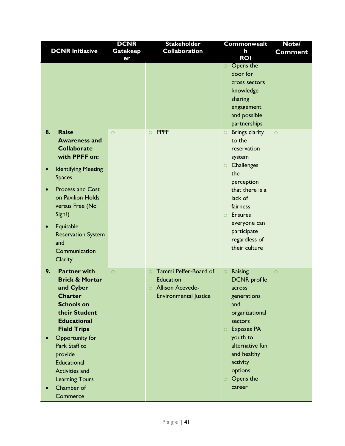|    |                            | <b>DCNR</b>     | <b>Stakeholder</b>                 | <b>Commonwealt</b>           | Note/          |
|----|----------------------------|-----------------|------------------------------------|------------------------------|----------------|
|    | <b>DCNR Initiative</b>     | <b>Gatekeep</b> | <b>Collaboration</b>               | h                            | <b>Comment</b> |
|    |                            | er              |                                    | <b>ROI</b>                   |                |
|    |                            |                 |                                    | O Opens the                  |                |
|    |                            |                 |                                    | door for                     |                |
|    |                            |                 |                                    | cross sectors                |                |
|    |                            |                 |                                    | knowledge                    |                |
|    |                            |                 |                                    | sharing                      |                |
|    |                            |                 |                                    | engagement                   |                |
|    |                            |                 |                                    | and possible                 |                |
|    |                            |                 |                                    | partnerships                 |                |
| 8. | <b>Raise</b>               | $\circ$         | $\circ$ PPFF                       | $\circ$ Brings clarity       | $\circ$        |
|    | <b>Awareness and</b>       |                 |                                    | to the                       |                |
|    | <b>Collaborate</b>         |                 |                                    | reservation                  |                |
|    | with PPFF on:              |                 |                                    | system                       |                |
|    | <b>Identifying Meeting</b> |                 |                                    | $\circ$ Challenges           |                |
|    | <b>Spaces</b>              |                 |                                    | the                          |                |
|    |                            |                 |                                    | perception                   |                |
|    | <b>Process and Cost</b>    |                 |                                    | that there is a              |                |
|    | on Pavilion Holds          |                 |                                    | lack of                      |                |
|    | versus Free (No            |                 |                                    | fairness                     |                |
|    | Sign?)                     |                 |                                    | <b>Ensures</b><br>$\circ$    |                |
|    | Equitable                  |                 |                                    | everyone can                 |                |
|    | <b>Reservation System</b>  |                 |                                    | participate                  |                |
|    | and                        |                 |                                    | regardless of                |                |
|    | Communication              |                 |                                    | their culture                |                |
|    | Clarity                    |                 |                                    |                              |                |
|    |                            |                 |                                    |                              |                |
| 9. | <b>Partner with</b>        | $\circ$         | Tammi Peffer-Board of<br>$\circ$   | Raising<br>$\bigcirc$        | $\circ$        |
|    | <b>Brick &amp; Mortar</b>  |                 | <b>Education</b>                   | <b>DCNR</b> profile          |                |
|    | and Cyber                  |                 | <b>Allison Acevedo-</b><br>$\circ$ | across                       |                |
|    | <b>Charter</b>             |                 | <b>Environmental Justice</b>       | generations                  |                |
|    | <b>Schools on</b>          |                 |                                    | and                          |                |
|    | their Student              |                 |                                    | organizational               |                |
|    | <b>Educational</b>         |                 |                                    | sectors                      |                |
|    | <b>Field Trips</b>         |                 |                                    | <b>Exposes PA</b><br>$\circ$ |                |
|    | Opportunity for            |                 |                                    | youth to                     |                |
|    | Park Staff to              |                 |                                    | alternative fun              |                |
|    | provide                    |                 |                                    | and healthy                  |                |
|    | Educational                |                 |                                    | activity                     |                |
|    | Activities and             |                 |                                    | options.                     |                |
|    | <b>Learning Tours</b>      |                 |                                    | Opens the<br>$\circ$         |                |
|    | Chamber of                 |                 |                                    | career                       |                |
|    | Commerce                   |                 |                                    |                              |                |